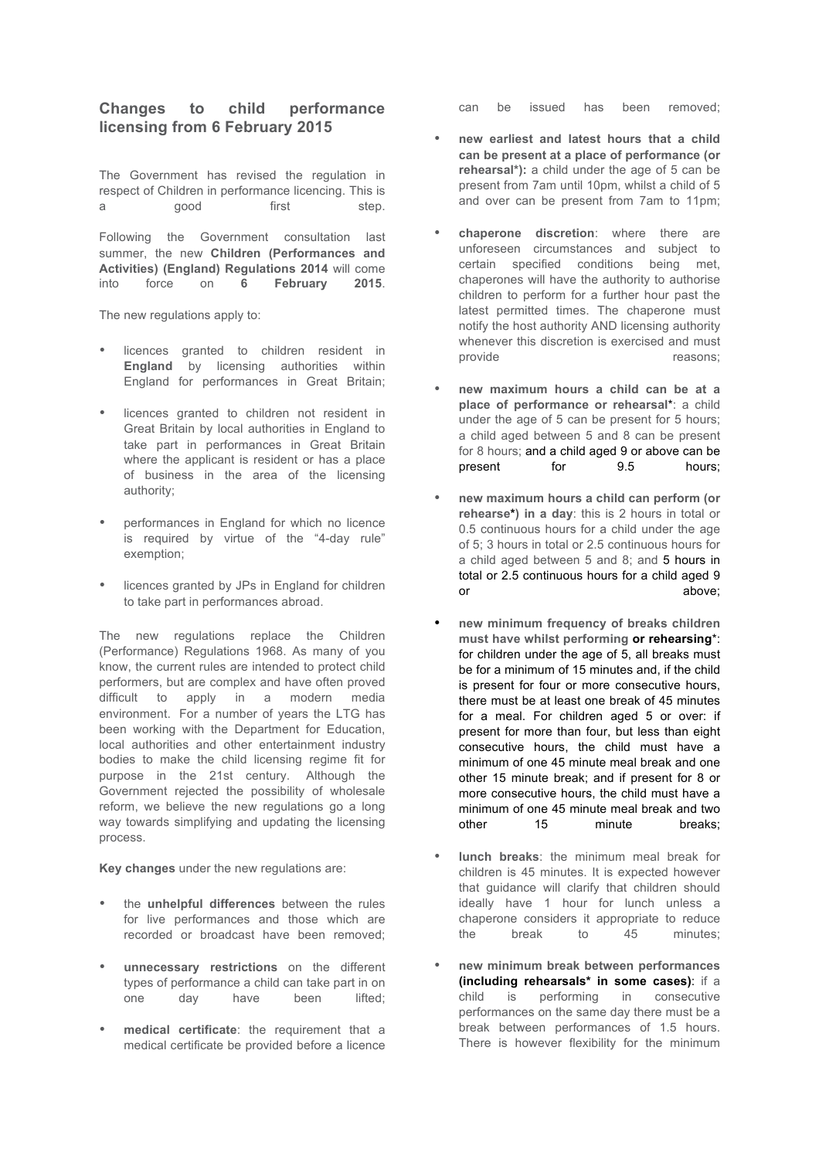## **Changes to child performance licensing from 6 February 2015**

The Government has revised the regulation in respect of Children in performance licencing. This is a good first step.

Following the Government consultation last summer, the new **Children (Performances and Activities) (England) Regulations 2014** will come into force on **6 February 2015**.

The new regulations apply to:

- licences granted to children resident in **England** by licensing authorities within England for performances in Great Britain;
- licences granted to children not resident in Great Britain by local authorities in England to take part in performances in Great Britain where the applicant is resident or has a place of business in the area of the licensing authority;
- performances in England for which no licence is required by virtue of the "4-day rule" exemption;
- licences granted by JPs in England for children to take part in performances abroad.

The new regulations replace the Children (Performance) Regulations 1968. As many of you know, the current rules are intended to protect child performers, but are complex and have often proved difficult to apply in a modern media environment. For a number of years the LTG has been working with the Department for Education, local authorities and other entertainment industry bodies to make the child licensing regime fit for purpose in the 21st century. Although the Government rejected the possibility of wholesale reform, we believe the new regulations go a long way towards simplifying and updating the licensing process.

**Key changes** under the new regulations are:

- the **unhelpful differences** between the rules for live performances and those which are recorded or broadcast have been removed;
- **unnecessary restrictions** on the different types of performance a child can take part in on one day have been lifted;
- **medical certificate**: the requirement that a medical certificate be provided before a licence

can be issued has been removed;

- **new earliest and latest hours that a child can be present at a place of performance (or rehearsal\*):** a child under the age of 5 can be present from 7am until 10pm, whilst a child of 5 and over can be present from 7am to 11pm;
- **chaperone discretion**: where there are unforeseen circumstances and subject to certain specified conditions being met, chaperones will have the authority to authorise children to perform for a further hour past the latest permitted times. The chaperone must notify the host authority AND licensing authority whenever this discretion is exercised and must<br>provide reasons: reasons:
- **new maximum hours a child can be at a place of performance or rehearsal**\*: a child under the age of 5 can be present for 5 hours; a child aged between 5 and 8 can be present for 8 hours; and a child aged 9 or above can be<br>present for 9.5 hours: present for 9.5 hours;
- **new maximum hours a child can perform (or rehearse\*) in a day**: this is 2 hours in total or 0.5 continuous hours for a child under the age of 5; 3 hours in total or 2.5 continuous hours for a child aged between 5 and 8; and 5 hours in total or 2.5 continuous hours for a child aged 9 or above:
- **new minimum frequency of breaks children must have whilst performing or rehearsing**\*: for children under the age of 5, all breaks must be for a minimum of 15 minutes and, if the child is present for four or more consecutive hours, there must be at least one break of 45 minutes for a meal. For children aged 5 or over: if present for more than four, but less than eight consecutive hours, the child must have a minimum of one 45 minute meal break and one other 15 minute break; and if present for 8 or more consecutive hours, the child must have a minimum of one 45 minute meal break and two other 15 minute breaks;
- **lunch breaks**: the minimum meal break for children is 45 minutes. It is expected however that guidance will clarify that children should ideally have 1 hour for lunch unless a chaperone considers it appropriate to reduce the break to 45 minutes;
- **new minimum break between performances (including rehearsals\* in some cases)**: if a child is performing in consecutive performances on the same day there must be a break between performances of 1.5 hours. There is however flexibility for the minimum